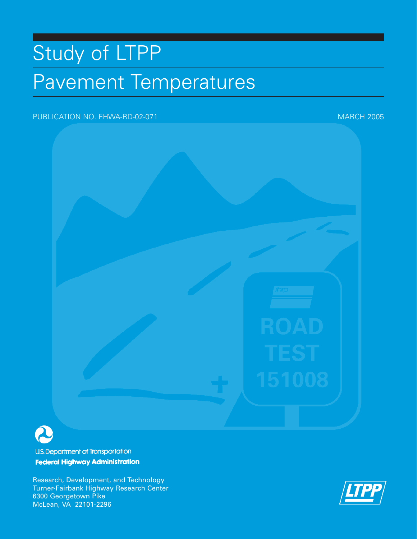# Study of LTPP Pavement Temperatures

## PUBLICATION NO. FHWA-RD-02-071 MARCH 2005



**U.S. Department of Transportation Federal Highway Administration** 

Research, Development, and Technology Turner-Fairbank Highway Research Center 6300 Georgetown Pike McLean, VA 22101-2296

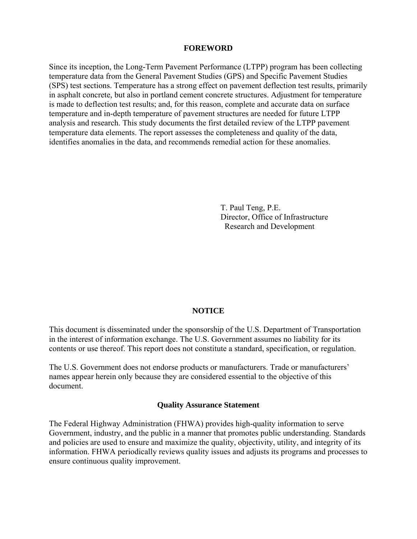#### **FOREWORD**

Since its inception, the Long-Term Pavement Performance (LTPP) program has been collecting temperature data from the General Pavement Studies (GPS) and Specific Pavement Studies (SPS) test sections. Temperature has a strong effect on pavement deflection test results, primarily in asphalt concrete, but also in portland cement concrete structures. Adjustment for temperature is made to deflection test results; and, for this reason, complete and accurate data on surface temperature and in-depth temperature of pavement structures are needed for future LTPP analysis and research. This study documents the first detailed review of the LTPP pavement temperature data elements. The report assesses the completeness and quality of the data, identifies anomalies in the data, and recommends remedial action for these anomalies.

> T. Paul Teng, P.E. Director, Office of Infrastructure Research and Development

#### **NOTICE**

This document is disseminated under the sponsorship of the U.S. Department of Transportation in the interest of information exchange. The U.S. Government assumes no liability for its contents or use thereof. This report does not constitute a standard, specification, or regulation.

The U.S. Government does not endorse products or manufacturers. Trade or manufacturers' names appear herein only because they are considered essential to the objective of this document.

#### **Quality Assurance Statement**

The Federal Highway Administration (FHWA) provides high-quality information to serve Government, industry, and the public in a manner that promotes public understanding. Standards and policies are used to ensure and maximize the quality, objectivity, utility, and integrity of its information. FHWA periodically reviews quality issues and adjusts its programs and processes to ensure continuous quality improvement.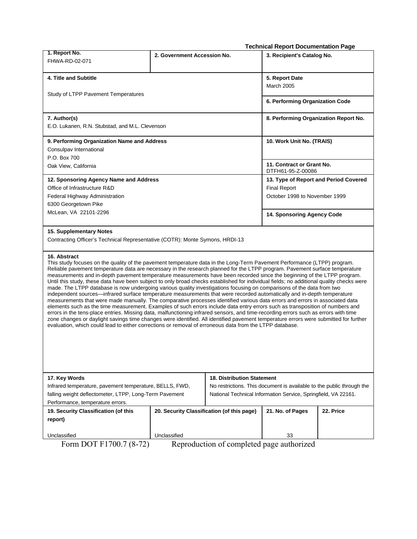|                                                                                                                                                                                                                                                                                                                                                                                                                                                                                                                                                                                                                                                                                                                                                                                                                                                                                                                                                                                                                                                                                                                                                                                                                                                                                                                                                                                                                                                               |                                            |                                                                | <b>Technical Report Documentation Page</b>                            |           |  |  |  |
|---------------------------------------------------------------------------------------------------------------------------------------------------------------------------------------------------------------------------------------------------------------------------------------------------------------------------------------------------------------------------------------------------------------------------------------------------------------------------------------------------------------------------------------------------------------------------------------------------------------------------------------------------------------------------------------------------------------------------------------------------------------------------------------------------------------------------------------------------------------------------------------------------------------------------------------------------------------------------------------------------------------------------------------------------------------------------------------------------------------------------------------------------------------------------------------------------------------------------------------------------------------------------------------------------------------------------------------------------------------------------------------------------------------------------------------------------------------|--------------------------------------------|----------------------------------------------------------------|-----------------------------------------------------------------------|-----------|--|--|--|
| 1. Report No.                                                                                                                                                                                                                                                                                                                                                                                                                                                                                                                                                                                                                                                                                                                                                                                                                                                                                                                                                                                                                                                                                                                                                                                                                                                                                                                                                                                                                                                 | 2. Government Accession No.                |                                                                | 3. Recipient's Catalog No.                                            |           |  |  |  |
| FHWA-RD-02-071                                                                                                                                                                                                                                                                                                                                                                                                                                                                                                                                                                                                                                                                                                                                                                                                                                                                                                                                                                                                                                                                                                                                                                                                                                                                                                                                                                                                                                                |                                            |                                                                |                                                                       |           |  |  |  |
| 4. Title and Subtitle                                                                                                                                                                                                                                                                                                                                                                                                                                                                                                                                                                                                                                                                                                                                                                                                                                                                                                                                                                                                                                                                                                                                                                                                                                                                                                                                                                                                                                         |                                            |                                                                | 5. Report Date                                                        |           |  |  |  |
|                                                                                                                                                                                                                                                                                                                                                                                                                                                                                                                                                                                                                                                                                                                                                                                                                                                                                                                                                                                                                                                                                                                                                                                                                                                                                                                                                                                                                                                               |                                            |                                                                | March 2005                                                            |           |  |  |  |
| Study of LTPP Pavement Temperatures                                                                                                                                                                                                                                                                                                                                                                                                                                                                                                                                                                                                                                                                                                                                                                                                                                                                                                                                                                                                                                                                                                                                                                                                                                                                                                                                                                                                                           |                                            |                                                                |                                                                       |           |  |  |  |
|                                                                                                                                                                                                                                                                                                                                                                                                                                                                                                                                                                                                                                                                                                                                                                                                                                                                                                                                                                                                                                                                                                                                                                                                                                                                                                                                                                                                                                                               | 6. Performing Organization Code            |                                                                |                                                                       |           |  |  |  |
| 7. Author(s)                                                                                                                                                                                                                                                                                                                                                                                                                                                                                                                                                                                                                                                                                                                                                                                                                                                                                                                                                                                                                                                                                                                                                                                                                                                                                                                                                                                                                                                  |                                            | 8. Performing Organization Report No.                          |                                                                       |           |  |  |  |
| E.O. Lukanen, R.N. Stubstad, and M.L. Clevenson                                                                                                                                                                                                                                                                                                                                                                                                                                                                                                                                                                                                                                                                                                                                                                                                                                                                                                                                                                                                                                                                                                                                                                                                                                                                                                                                                                                                               |                                            |                                                                |                                                                       |           |  |  |  |
| 9. Performing Organization Name and Address                                                                                                                                                                                                                                                                                                                                                                                                                                                                                                                                                                                                                                                                                                                                                                                                                                                                                                                                                                                                                                                                                                                                                                                                                                                                                                                                                                                                                   |                                            | 10. Work Unit No. (TRAIS)                                      |                                                                       |           |  |  |  |
| Consulpav International                                                                                                                                                                                                                                                                                                                                                                                                                                                                                                                                                                                                                                                                                                                                                                                                                                                                                                                                                                                                                                                                                                                                                                                                                                                                                                                                                                                                                                       |                                            |                                                                |                                                                       |           |  |  |  |
| P.O. Box 700                                                                                                                                                                                                                                                                                                                                                                                                                                                                                                                                                                                                                                                                                                                                                                                                                                                                                                                                                                                                                                                                                                                                                                                                                                                                                                                                                                                                                                                  |                                            |                                                                |                                                                       |           |  |  |  |
| Oak View, California                                                                                                                                                                                                                                                                                                                                                                                                                                                                                                                                                                                                                                                                                                                                                                                                                                                                                                                                                                                                                                                                                                                                                                                                                                                                                                                                                                                                                                          |                                            |                                                                | 11. Contract or Grant No.<br>DTFH61-95-Z-00086                        |           |  |  |  |
| 12. Sponsoring Agency Name and Address                                                                                                                                                                                                                                                                                                                                                                                                                                                                                                                                                                                                                                                                                                                                                                                                                                                                                                                                                                                                                                                                                                                                                                                                                                                                                                                                                                                                                        |                                            |                                                                | 13. Type of Report and Period Covered                                 |           |  |  |  |
| Office of Infrastructure R&D                                                                                                                                                                                                                                                                                                                                                                                                                                                                                                                                                                                                                                                                                                                                                                                                                                                                                                                                                                                                                                                                                                                                                                                                                                                                                                                                                                                                                                  |                                            |                                                                | <b>Final Report</b>                                                   |           |  |  |  |
| Federal Highway Administration                                                                                                                                                                                                                                                                                                                                                                                                                                                                                                                                                                                                                                                                                                                                                                                                                                                                                                                                                                                                                                                                                                                                                                                                                                                                                                                                                                                                                                |                                            |                                                                | October 1998 to November 1999                                         |           |  |  |  |
| 6300 Georgetown Pike                                                                                                                                                                                                                                                                                                                                                                                                                                                                                                                                                                                                                                                                                                                                                                                                                                                                                                                                                                                                                                                                                                                                                                                                                                                                                                                                                                                                                                          |                                            |                                                                |                                                                       |           |  |  |  |
| McLean, VA 22101-2296                                                                                                                                                                                                                                                                                                                                                                                                                                                                                                                                                                                                                                                                                                                                                                                                                                                                                                                                                                                                                                                                                                                                                                                                                                                                                                                                                                                                                                         |                                            |                                                                | 14. Sponsoring Agency Code                                            |           |  |  |  |
| 15. Supplementary Notes                                                                                                                                                                                                                                                                                                                                                                                                                                                                                                                                                                                                                                                                                                                                                                                                                                                                                                                                                                                                                                                                                                                                                                                                                                                                                                                                                                                                                                       |                                            |                                                                |                                                                       |           |  |  |  |
| Contracting Officer's Technical Representative (COTR): Monte Symons, HRDI-13                                                                                                                                                                                                                                                                                                                                                                                                                                                                                                                                                                                                                                                                                                                                                                                                                                                                                                                                                                                                                                                                                                                                                                                                                                                                                                                                                                                  |                                            |                                                                |                                                                       |           |  |  |  |
| 16. Abstract<br>This study focuses on the quality of the pavement temperature data in the Long-Term Pavement Performance (LTPP) program.<br>Reliable pavement temperature data are necessary in the research planned for the LTPP program. Pavement surface temperature<br>measurements and in-depth pavement temperature measurements have been recorded since the beginning of the LTPP program.<br>Until this study, these data have been subject to only broad checks established for individual fields; no additional quality checks were<br>made. The LTPP database is now undergoing various quality investigations focusing on comparisons of the data from two<br>independent sources—infrared surface temperature measurements that were recorded automatically and in-depth temperature<br>measurements that were made manually. The comparative processes identified various data errors and errors in associated data<br>elements such as the time measurement. Examples of such errors include data entry errors such as transposition of numbers and<br>errors in the tens-place entries. Missing data, malfunctioning infrared sensors, and time-recording errors such as errors with time<br>zone changes or daylight savings time changes were identified. All identified pavement temperature errors were submitted for further<br>evaluation, which could lead to either corrections or removal of erroneous data from the LTPP database. |                                            |                                                                |                                                                       |           |  |  |  |
| 17. Key Words                                                                                                                                                                                                                                                                                                                                                                                                                                                                                                                                                                                                                                                                                                                                                                                                                                                                                                                                                                                                                                                                                                                                                                                                                                                                                                                                                                                                                                                 |                                            | <b>18. Distribution Statement</b>                              |                                                                       |           |  |  |  |
| Infrared temperature, pavement temperature, BELLS, FWD,                                                                                                                                                                                                                                                                                                                                                                                                                                                                                                                                                                                                                                                                                                                                                                                                                                                                                                                                                                                                                                                                                                                                                                                                                                                                                                                                                                                                       |                                            |                                                                | No restrictions. This document is available to the public through the |           |  |  |  |
| falling weight deflectometer, LTPP, Long-Term Pavement                                                                                                                                                                                                                                                                                                                                                                                                                                                                                                                                                                                                                                                                                                                                                                                                                                                                                                                                                                                                                                                                                                                                                                                                                                                                                                                                                                                                        |                                            | National Technical Information Service, Springfield, VA 22161. |                                                                       |           |  |  |  |
| Performance, temperature errors.                                                                                                                                                                                                                                                                                                                                                                                                                                                                                                                                                                                                                                                                                                                                                                                                                                                                                                                                                                                                                                                                                                                                                                                                                                                                                                                                                                                                                              |                                            |                                                                |                                                                       |           |  |  |  |
| 19. Security Classification (of this                                                                                                                                                                                                                                                                                                                                                                                                                                                                                                                                                                                                                                                                                                                                                                                                                                                                                                                                                                                                                                                                                                                                                                                                                                                                                                                                                                                                                          | 20. Security Classification (of this page) |                                                                | 21. No. of Pages                                                      | 22. Price |  |  |  |
| report)                                                                                                                                                                                                                                                                                                                                                                                                                                                                                                                                                                                                                                                                                                                                                                                                                                                                                                                                                                                                                                                                                                                                                                                                                                                                                                                                                                                                                                                       |                                            |                                                                |                                                                       |           |  |  |  |

Unclassified<br>Form DOT F1700.7 (8-72)

Form DOT F1700.7 (8-72) Reproduction of completed page authorized

Unclassified 33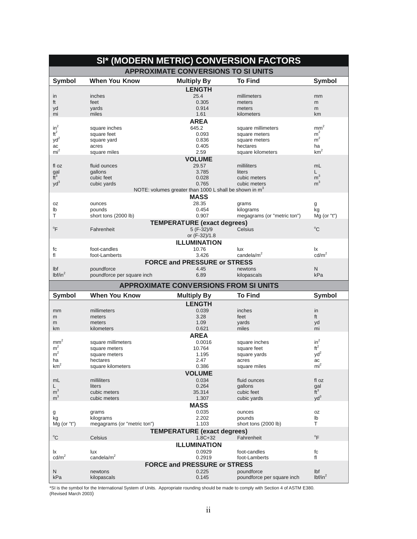| SI* (MODERN METRIC) CONVERSION FACTORS |                                          |                                                          |                                          |                            |  |  |
|----------------------------------------|------------------------------------------|----------------------------------------------------------|------------------------------------------|----------------------------|--|--|
|                                        |                                          | <b>APPROXIMATE CONVERSIONS TO SI UNITS</b>               |                                          |                            |  |  |
| <b>Symbol</b>                          | <b>When You Know</b>                     | <b>Multiply By</b>                                       | <b>To Find</b>                           | <b>Symbol</b>              |  |  |
|                                        |                                          | <b>LENGTH</b>                                            |                                          |                            |  |  |
| in                                     | inches                                   | 25.4                                                     | millimeters                              | mm                         |  |  |
| ft                                     | feet                                     | 0.305                                                    | meters                                   | m                          |  |  |
| yd<br>mi                               | yards<br>miles                           | 0.914<br>1.61                                            | meters<br>kilometers                     | m<br>km                    |  |  |
|                                        |                                          | <b>AREA</b>                                              |                                          |                            |  |  |
| $in^2$                                 | square inches                            | 645.2                                                    | square millimeters                       | mm <sup>2</sup>            |  |  |
| $ft^2$                                 | square feet                              | 0.093                                                    | square meters                            | m <sup>2</sup>             |  |  |
| $yd^2$                                 | square yard                              | 0.836                                                    | square meters                            | $m^2$                      |  |  |
| ac                                     | acres                                    | 0.405                                                    | hectares                                 | ha                         |  |  |
| mi <sup>2</sup>                        | square miles                             | 2.59                                                     | square kilometers                        | km <sup>2</sup>            |  |  |
|                                        |                                          | <b>VOLUME</b>                                            |                                          |                            |  |  |
| fl oz                                  | fluid ounces                             | 29.57                                                    | milliliters                              | mL                         |  |  |
| $\frac{gal}{ft^3}$                     | gallons                                  | 3.785                                                    | liters                                   | L<br>m <sup>3</sup>        |  |  |
| $yd^3$                                 | cubic feet                               | 0.028<br>0.765                                           | cubic meters<br>cubic meters             | m <sup>3</sup>             |  |  |
|                                        | cubic yards                              | NOTE: volumes greater than 1000 L shall be shown in $m3$ |                                          |                            |  |  |
|                                        |                                          | <b>MASS</b>                                              |                                          |                            |  |  |
| 0Z                                     | ounces                                   | 28.35                                                    | grams                                    | g                          |  |  |
| lb                                     | pounds                                   | 0.454                                                    | kilograms                                | kg                         |  |  |
| т                                      | short tons (2000 lb)                     | 0.907                                                    | megagrams (or "metric ton")              | $Mg$ (or "t")              |  |  |
|                                        |                                          | <b>TEMPERATURE</b> (exact degrees)                       |                                          |                            |  |  |
| °F                                     | Fahrenheit                               | 5 (F-32)/9                                               | Celsius                                  | $^{\circ}$ C               |  |  |
|                                        |                                          | or (F-32)/1.8                                            |                                          |                            |  |  |
|                                        |                                          | <b>ILLUMINATION</b>                                      |                                          |                            |  |  |
| fc                                     | foot-candles                             | 10.76                                                    | lux                                      | Ιx                         |  |  |
| fl                                     | foot-Lamberts                            | 3.426                                                    | candela/m <sup>2</sup>                   | $\text{cd/m}^2$            |  |  |
|                                        |                                          | <b>FORCE and PRESSURE or STRESS</b>                      |                                          |                            |  |  |
| Ibf<br>lbf/in <sup>2</sup>             | poundforce<br>poundforce per square inch | 4.45<br>6.89                                             | newtons                                  | N<br>kPa                   |  |  |
|                                        |                                          |                                                          | kilopascals                              |                            |  |  |
|                                        |                                          | <b>APPROXIMATE CONVERSIONS FROM SI UNITS</b>             |                                          |                            |  |  |
| <b>Symbol</b>                          | <b>When You Know</b>                     | <b>Multiply By</b>                                       | <b>To Find</b>                           | <b>Symbol</b>              |  |  |
|                                        |                                          | <b>LENGTH</b>                                            |                                          |                            |  |  |
| mm                                     | millimeters                              | 0.039                                                    | inches                                   | in                         |  |  |
| m                                      | meters                                   | 3.28<br>1.09                                             | feet<br>vards                            | ft                         |  |  |
| m<br>km                                | meters<br>kilometers                     | 0.621                                                    | miles                                    | yd<br>mi                   |  |  |
|                                        |                                          | <b>AREA</b>                                              |                                          |                            |  |  |
| mm <sup>2</sup>                        | square millimeters                       | 0.0016                                                   | square inches                            | $in^2$                     |  |  |
| m <sup>2</sup>                         | square meters                            | 10.764                                                   | square feet                              | $\mathrm{ft}^2$            |  |  |
| m <sup>2</sup>                         | square meters                            | 1.195                                                    | square yards                             | $yd^2$                     |  |  |
| ha                                     | hectares                                 | 2.47                                                     | acres                                    | ac                         |  |  |
| km <sup>2</sup>                        | square kilometers                        | 0.386                                                    | square miles                             | mi <sup>2</sup>            |  |  |
|                                        |                                          | <b>VOLUME</b>                                            |                                          |                            |  |  |
| mL                                     | milliliters                              | 0.034                                                    | fluid ounces                             | fl oz                      |  |  |
| L<br>m <sup>3</sup>                    | liters<br>cubic meters                   | 0.264<br>35.314                                          | gallons<br>cubic feet                    | gal<br>$\tilde{t}^3$       |  |  |
| m <sup>3</sup>                         | cubic meters                             | 1.307                                                    | cubic yards                              | $yd^3$                     |  |  |
|                                        |                                          | <b>MASS</b>                                              |                                          |                            |  |  |
| g                                      | grams                                    | 0.035                                                    | ounces                                   | 0Z                         |  |  |
|                                        |                                          |                                                          | pounds                                   | lb                         |  |  |
| kg                                     | kilograms                                | 2.202                                                    |                                          |                            |  |  |
| $Mg$ (or "t")                          | megagrams (or "metric ton")              | 1.103                                                    | short tons (2000 lb)                     | т                          |  |  |
|                                        |                                          | <b>TEMPERATURE</b> (exact degrees)                       |                                          |                            |  |  |
| $^{\circ}$ C                           | Celsius                                  | $1.8C + 32$                                              | Fahrenheit                               | $\mathrm{P}$               |  |  |
|                                        |                                          | <b>ILLUMINATION</b>                                      |                                          |                            |  |  |
| lχ                                     | lux                                      | 0.0929                                                   | foot-candles                             | fc                         |  |  |
| cd/m <sup>2</sup>                      | candela/ $m2$                            | 0.2919                                                   | foot-Lamberts                            | fl                         |  |  |
|                                        |                                          | <b>FORCE and PRESSURE or STRESS</b>                      |                                          |                            |  |  |
| N<br>kPa                               | newtons<br>kilopascals                   | 0.225<br>0.145                                           | poundforce<br>poundforce per square inch | Ibf<br>lbf/in <sup>2</sup> |  |  |

\*SI is the symbol for the International System of Units. Appropriate rounding should be made to comply with Section 4 of ASTM E380.<br>(Revised March 2003)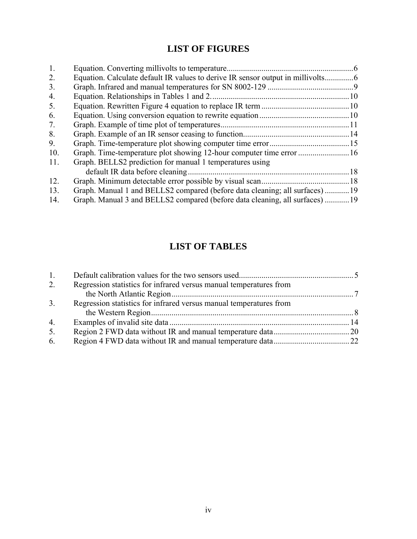# **LIST OF FIGURES**

| 1.  |                                                                             |  |
|-----|-----------------------------------------------------------------------------|--|
| 2.  |                                                                             |  |
| 3.  |                                                                             |  |
| 4.  |                                                                             |  |
| 5.  |                                                                             |  |
| 6.  |                                                                             |  |
| 7.  |                                                                             |  |
| 8.  |                                                                             |  |
| 9.  |                                                                             |  |
| 10. |                                                                             |  |
| 11. | Graph. BELLS2 prediction for manual 1 temperatures using                    |  |
|     |                                                                             |  |
| 12. |                                                                             |  |
| 13. | Graph. Manual 1 and BELLS2 compared (before data cleaning; all surfaces) 19 |  |
| 14. | Graph. Manual 3 and BELLS2 compared (before data cleaning, all surfaces) 19 |  |

# **LIST OF TABLES**

| $\mathbf{1}$ . |                                                                    |  |
|----------------|--------------------------------------------------------------------|--|
| 2.             | Regression statistics for infrared versus manual temperatures from |  |
|                |                                                                    |  |
| 3.             | Regression statistics for infrared versus manual temperatures from |  |
|                |                                                                    |  |
| 4.             |                                                                    |  |
| 5.             |                                                                    |  |
| 6.             |                                                                    |  |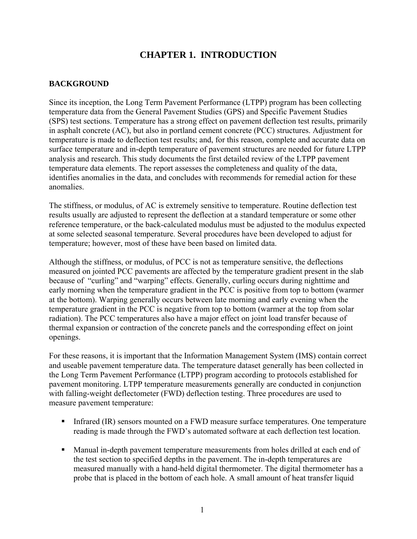# **CHAPTER 1. INTRODUCTION**

## **BACKGROUND**

Since its inception, the Long Term Pavement Performance (LTPP) program has been collecting temperature data from the General Pavement Studies (GPS) and Specific Pavement Studies (SPS) test sections. Temperature has a strong effect on pavement deflection test results, primarily in asphalt concrete (AC), but also in portland cement concrete (PCC) structures. Adjustment for temperature is made to deflection test results; and, for this reason, complete and accurate data on surface temperature and in-depth temperature of pavement structures are needed for future LTPP analysis and research. This study documents the first detailed review of the LTPP pavement temperature data elements. The report assesses the completeness and quality of the data, identifies anomalies in the data, and concludes with recommends for remedial action for these anomalies.

The stiffness, or modulus, of AC is extremely sensitive to temperature. Routine deflection test results usually are adjusted to represent the deflection at a standard temperature or some other reference temperature, or the back-calculated modulus must be adjusted to the modulus expected at some selected seasonal temperature. Several procedures have been developed to adjust for temperature; however, most of these have been based on limited data.

Although the stiffness, or modulus, of PCC is not as temperature sensitive, the deflections measured on jointed PCC pavements are affected by the temperature gradient present in the slab because of "curling" and "warping" effects. Generally, curling occurs during nighttime and early morning when the temperature gradient in the PCC is positive from top to bottom (warmer at the bottom). Warping generally occurs between late morning and early evening when the temperature gradient in the PCC is negative from top to bottom (warmer at the top from solar radiation). The PCC temperatures also have a major effect on joint load transfer because of thermal expansion or contraction of the concrete panels and the corresponding effect on joint openings.

For these reasons, it is important that the Information Management System (IMS) contain correct and useable pavement temperature data. The temperature dataset generally has been collected in the Long Term Pavement Performance (LTPP) program according to protocols established for pavement monitoring. LTPP temperature measurements generally are conducted in conjunction with falling-weight deflectometer (FWD) deflection testing. Three procedures are used to measure pavement temperature:

- Infrared (IR) sensors mounted on a FWD measure surface temperatures. One temperature reading is made through the FWD's automated software at each deflection test location.
- Manual in-depth pavement temperature measurements from holes drilled at each end of the test section to specified depths in the pavement. The in-depth temperatures are measured manually with a hand-held digital thermometer. The digital thermometer has a probe that is placed in the bottom of each hole. A small amount of heat transfer liquid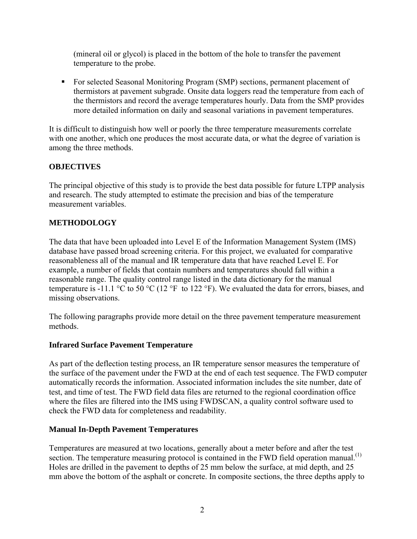(mineral oil or glycol) is placed in the bottom of the hole to transfer the pavement temperature to the probe.

 For selected Seasonal Monitoring Program (SMP) sections, permanent placement of thermistors at pavement subgrade. Onsite data loggers read the temperature from each of the thermistors and record the average temperatures hourly. Data from the SMP provides more detailed information on daily and seasonal variations in pavement temperatures.

It is difficult to distinguish how well or poorly the three temperature measurements correlate with one another, which one produces the most accurate data, or what the degree of variation is among the three methods.

## **OBJECTIVES**

The principal objective of this study is to provide the best data possible for future LTPP analysis and research. The study attempted to estimate the precision and bias of the temperature measurement variables.

## **METHODOLOGY**

The data that have been uploaded into Level E of the Information Management System (IMS) database have passed broad screening criteria. For this project, we evaluated for comparative reasonableness all of the manual and IR temperature data that have reached Level E. For example, a number of fields that contain numbers and temperatures should fall within a reasonable range. The quality control range listed in the data dictionary for the manual temperature is -11.1 °C to 50 °C (12 °F to 122 °F). We evaluated the data for errors, biases, and missing observations.

The following paragraphs provide more detail on the three pavement temperature measurement methods.

## **Infrared Surface Pavement Temperature**

As part of the deflection testing process, an IR temperature sensor measures the temperature of the surface of the pavement under the FWD at the end of each test sequence. The FWD computer automatically records the information. Associated information includes the site number, date of test, and time of test. The FWD field data files are returned to the regional coordination office where the files are filtered into the IMS using FWDSCAN, a quality control software used to check the FWD data for completeness and readability.

#### **Manual In-Depth Pavement Temperatures**

Temperatures are measured at two locations, generally about a meter before and after the test section. The temperature measuring protocol is contained in the FWD field operation manual.<sup>(1)</sup> Holes are drilled in the pavement to depths of 25 mm below the surface, at mid depth, and 25 mm above the bottom of the asphalt or concrete. In composite sections, the three depths apply to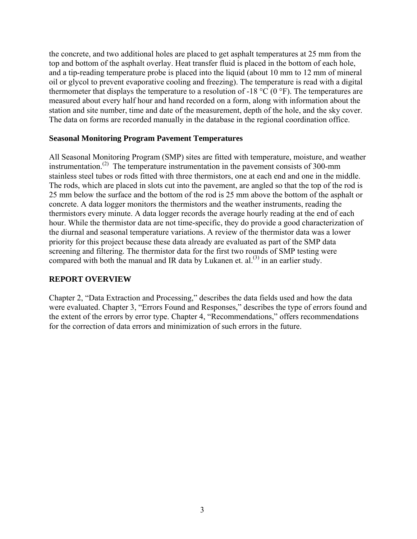the concrete, and two additional holes are placed to get asphalt temperatures at 25 mm from the top and bottom of the asphalt overlay. Heat transfer fluid is placed in the bottom of each hole, and a tip-reading temperature probe is placed into the liquid (about 10 mm to 12 mm of mineral oil or glycol to prevent evaporative cooling and freezing). The temperature is read with a digital thermometer that displays the temperature to a resolution of -18  $^{\circ}$ C (0  $^{\circ}$ F). The temperatures are measured about every half hour and hand recorded on a form, along with information about the station and site number, time and date of the measurement, depth of the hole, and the sky cover. The data on forms are recorded manually in the database in the regional coordination office.

#### **Seasonal Monitoring Program Pavement Temperatures**

All Seasonal Monitoring Program (SMP) sites are fitted with temperature, moisture, and weather instrumentation.<sup>(2)</sup> The temperature instrumentation in the pavement consists of 300-mm stainless steel tubes or rods fitted with three thermistors, one at each end and one in the middle. The rods, which are placed in slots cut into the pavement, are angled so that the top of the rod is 25 mm below the surface and the bottom of the rod is 25 mm above the bottom of the asphalt or concrete. A data logger monitors the thermistors and the weather instruments, reading the thermistors every minute. A data logger records the average hourly reading at the end of each hour. While the thermistor data are not time-specific, they do provide a good characterization of the diurnal and seasonal temperature variations. A review of the thermistor data was a lower priority for this project because these data already are evaluated as part of the SMP data screening and filtering. The thermistor data for the first two rounds of SMP testing were compared with both the manual and IR data by Lukanen et.  $al^{(3)}$  in an earlier study.

## **REPORT OVERVIEW**

Chapter 2, "Data Extraction and Processing," describes the data fields used and how the data were evaluated. Chapter 3, "Errors Found and Responses," describes the type of errors found and the extent of the errors by error type. Chapter 4, "Recommendations," offers recommendations for the correction of data errors and minimization of such errors in the future.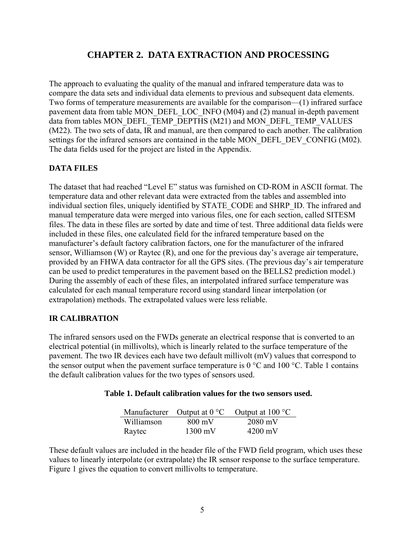# **CHAPTER 2. DATA EXTRACTION AND PROCESSING**

The approach to evaluating the quality of the manual and infrared temperature data was to compare the data sets and individual data elements to previous and subsequent data elements. Two forms of temperature measurements are available for the comparison—(1) infrared surface pavement data from table MON\_DEFL\_LOC\_INFO (M04) and (2) manual in-depth pavement data from tables MON\_DEFL\_TEMP\_DEPTHS (M21) and MON\_DEFL\_TEMP\_VALUES (M22). The two sets of data, IR and manual, are then compared to each another. The calibration settings for the infrared sensors are contained in the table MON\_DEFL\_DEV\_CONFIG (M02). The data fields used for the project are listed in the Appendix.

## **DATA FILES**

The dataset that had reached "Level E" status was furnished on CD-ROM in ASCII format. The temperature data and other relevant data were extracted from the tables and assembled into individual section files, uniquely identified by STATE\_CODE and SHRP\_ID. The infrared and manual temperature data were merged into various files, one for each section, called SITESM files. The data in these files are sorted by date and time of test. Three additional data fields were included in these files, one calculated field for the infrared temperature based on the manufacturer's default factory calibration factors, one for the manufacturer of the infrared sensor, Williamson (W) or Raytec (R), and one for the previous day's average air temperature, provided by an FHWA data contractor for all the GPS sites. (The previous day's air temperature can be used to predict temperatures in the pavement based on the BELLS2 prediction model.) During the assembly of each of these files, an interpolated infrared surface temperature was calculated for each manual temperature record using standard linear interpolation (or extrapolation) methods. The extrapolated values were less reliable.

## **IR CALIBRATION**

The infrared sensors used on the FWDs generate an electrical response that is converted to an electrical potential (in millivolts), which is linearly related to the surface temperature of the pavement. The two IR devices each have two default millivolt (mV) values that correspond to the sensor output when the pavement surface temperature is  $0^{\circ}$ C and  $100^{\circ}$ C. Table 1 contains the default calibration values for the two types of sensors used.

#### **Table 1. Default calibration values for the two sensors used.**

|            |                   | Manufacturer Output at $0^{\circ}$ C Output at $100^{\circ}$ C |
|------------|-------------------|----------------------------------------------------------------|
| Williamson | 800 mV            | $2080$ mV                                                      |
| Raytec     | $1300 \text{ mV}$ | $4200 \text{ mV}$                                              |

These default values are included in the header file of the FWD field program, which uses these values to linearly interpolate (or extrapolate) the IR sensor response to the surface temperature. Figure 1 gives the equation to convert millivolts to temperature.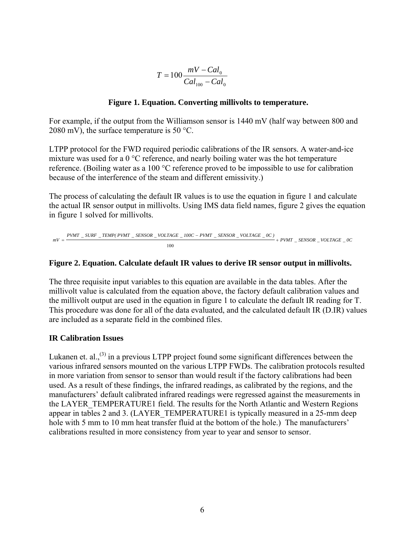$$
T = 100 \frac{mV - Cal_0}{Cal_{100} - Cal_0}
$$

#### **Figure 1. Equation. Converting millivolts to temperature.**

For example, if the output from the Williamson sensor is 1440 mV (half way between 800 and 2080 mV), the surface temperature is 50 °C.

LTPP protocol for the FWD required periodic calibrations of the IR sensors. A water-and-ice mixture was used for a 0 °C reference, and nearly boiling water was the hot temperature reference. (Boiling water as a 100 °C reference proved to be impossible to use for calibration because of the interference of the steam and different emissivity.)

The process of calculating the default IR values is to use the equation in figure 1 and calculate the actual IR sensor output in millivolts. Using IMS data field names, figure 2 gives the equation in figure 1 solved for millivolts.

$$
mV = \frac{P V M T\_ SURF\_TEMP(\textit{P VMT}\_\textit{SENSOR}\_\textit{VOLTAGE}\_\textit{100C} - P V M T\_SENSOR\_VOLTAGE}\_\textit{0C})}{100} + P W M T\_SENSOR\_VOLTAGE\_0C
$$

#### **Figure 2. Equation. Calculate default IR values to derive IR sensor output in millivolts.**

The three requisite input variables to this equation are available in the data tables. After the millivolt value is calculated from the equation above, the factory default calibration values and the millivolt output are used in the equation in figure 1 to calculate the default IR reading for T. This procedure was done for all of the data evaluated, and the calculated default IR (D.IR) values are included as a separate field in the combined files.

#### **IR Calibration Issues**

Lukanen et. al.,<sup>(3)</sup> in a previous LTPP project found some significant differences between the various infrared sensors mounted on the various LTPP FWDs. The calibration protocols resulted in more variation from sensor to sensor than would result if the factory calibrations had been used. As a result of these findings, the infrared readings, as calibrated by the regions, and the manufacturers' default calibrated infrared readings were regressed against the measurements in the LAYER\_TEMPERATURE1 field. The results for the North Atlantic and Western Regions appear in tables 2 and 3. (LAYER\_TEMPERATURE1 is typically measured in a 25-mm deep hole with 5 mm to 10 mm heat transfer fluid at the bottom of the hole.) The manufacturers' calibrations resulted in more consistency from year to year and sensor to sensor.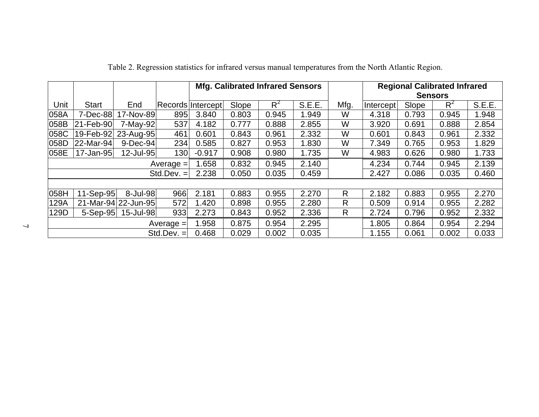|      |              |                     |               | <b>Mfg. Calibrated Infrared Sensors</b> |       |       |               |      |           |       | <b>Regional Calibrated Infrared</b> |        |
|------|--------------|---------------------|---------------|-----------------------------------------|-------|-------|---------------|------|-----------|-------|-------------------------------------|--------|
|      |              |                     |               |                                         |       |       |               |      |           |       | <b>Sensors</b>                      |        |
| Unit | <b>Start</b> | End                 |               | Records Intercept                       | Slope | $R^2$ | <b>S.E.E.</b> | Mfg. | Intercept | Slope | $R^2$                               | S.E.E. |
| 058A | 7-Dec-88     | 17-Nov-89           | 895           | 3.840                                   | 0.803 | 0.945 | 1.949         | W    | 4.318     | 0.793 | 0.945                               | 1.948  |
| 058B | 21-Feb-90    | 7-May-92            | 537           | 4.182                                   | 0.777 | 0.888 | 2.855         | W    | 3.920     | 0.691 | 0.888                               | 2.854  |
| 058C | 19-Feb-92    | 23-Aug-95           | 461           | 0.601                                   | 0.843 | 0.961 | 2.332         | W    | 0.601     | 0.843 | 0.961                               | 2.332  |
| 058D | 22-Mar-94    | 9-Dec-94            | 234           | 0.585                                   | 0.827 | 0.953 | 1.830         | W    | 7.349     | 0.765 | 0.953                               | 1.829  |
| 058E | 17-Jan-95    | 12-Jul-95           | 130           | $-0.917$                                | 0.908 | 0.980 | 1.735         | W    | 4.983     | 0.626 | 0.980                               | 1.733  |
|      |              |                     | $Average =$   | 1.658                                   | 0.832 | 0.945 | 2.140         |      | 4.234     | 0.744 | 0.945                               | 2.139  |
|      |              |                     | $Std. Dev. =$ | 2.238                                   | 0.050 | 0.035 | 0.459         |      | 2.427     | 0.086 | 0.035                               | 0.460  |
|      |              |                     |               |                                         |       |       |               |      |           |       |                                     |        |
| 058H | 11-Sep-95    | 8-Jul-98            | 966           | 2.181                                   | 0.883 | 0.955 | 2.270         | R.   | 2.182     | 0.883 | 0.955                               | 2.270  |
| 129A |              | 21-Mar-94 22-Jun-95 | 572           | 1.420                                   | 0.898 | 0.955 | 2.280         | R    | 0.509     | 0.914 | 0.955                               | 2.282  |
| 129D | $5-Sep-95$   | 15-Jul-98           | 933           | 2.273                                   | 0.843 | 0.952 | 2.336         | R.   | 2.724     | 0.796 | 0.952                               | 2.332  |
|      |              |                     | Average $=$   | 1.958                                   | 0.875 | 0.954 | 2.295         |      | 1.805     | 0.864 | 0.954                               | 2.294  |
|      |              |                     | $Std. Dev. =$ | 0.468                                   | 0.029 | 0.002 | 0.035         |      | 1.155     | 0.061 | 0.002                               | 0.033  |

Table 2. Regression statistics for infrared versus manual temperatures from the North Atlantic Region.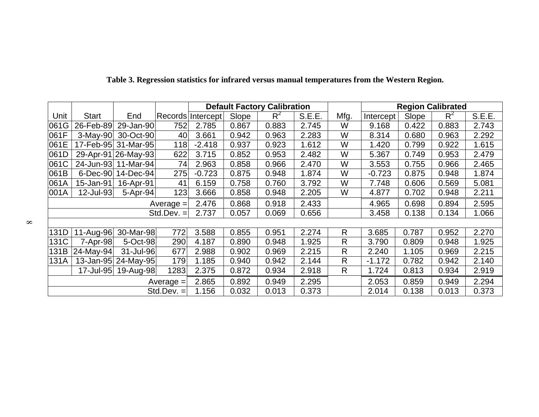|      |              |                     |              | <b>Default Factory Calibration</b> |       |       |        |              |           |       | <b>Region Calibrated</b> |        |
|------|--------------|---------------------|--------------|------------------------------------|-------|-------|--------|--------------|-----------|-------|--------------------------|--------|
| Unit | <b>Start</b> | End                 |              | Records Intercept                  | Slope | $R^2$ | S.E.E. | Mfg.         | Intercept | Slope | $R^2$                    | S.E.E. |
| 061G | 26-Feb-89    | 29-Jan-90           | 752          | 2.785                              | 0.867 | 0.883 | 2.745  | W            | 9.168     | 0.422 | 0.883                    | 2.743  |
| 061F | $3-May-90$   | 30-Oct-90           | 40           | 3.661                              | 0.942 | 0.963 | 2.283  | W            | 8.314     | 0.680 | 0.963                    | 2.292  |
| 061E | 17-Feb-95    | 31-Mar-95           | 118          | $-2.418$                           | 0.937 | 0.923 | 1.612  | W            | 1.420     | 0.799 | 0.922                    | 1.615  |
| 061D |              | 29-Apr-91 26-May-93 | 622          | 3.715                              | 0.852 | 0.953 | 2.482  | W            | 5.367     | 0.749 | 0.953                    | 2.479  |
| 061C | 24-Jun-93    | 11-Mar-94           | 74           | 2.963                              | 0.858 | 0.966 | 2.470  | W            | 3.553     | 0.755 | 0.966                    | 2.465  |
| 061B | $6$ -Dec-90  | 14-Dec-94           | 275          | $-0.723$                           | 0.875 | 0.948 | 1.874  | W            | $-0.723$  | 0.875 | 0.948                    | 1.874  |
| 061A | 15-Jan-91    | 16-Apr-91           | 41           | 6.159                              | 0.758 | 0.760 | 3.792  | W            | 7.748     | 0.606 | 0.569                    | 5.081  |
| 001A | 12-Jul-93    | 5-Apr-94            | 123          | 3.666                              | 0.858 | 0.948 | 2.205  | W            | 4.877     | 0.702 | 0.948                    | 2.211  |
|      |              |                     | $Average =$  | 2.476                              | 0.868 | 0.918 | 2.433  |              | 4.965     | 0.698 | 0.894                    | 2.595  |
|      |              |                     | Std.Dev. $=$ | 2.737                              | 0.057 | 0.069 | 0.656  |              | 3.458     | 0.138 | 0.134                    | 1.066  |
|      |              |                     |              |                                    |       |       |        |              |           |       |                          |        |
| 131D | 11-Aug-96    | 30-Mar-98           | 772          | 3.588                              | 0.855 | 0.951 | 2.274  | R            | 3.685     | 0.787 | 0.952                    | 2.270  |
| 131C | 7-Apr-98     | 5-Oct-98            | 290          | 4.187                              | 0.890 | 0.948 | 1.925  | $\mathsf{R}$ | 3.790     | 0.809 | 0.948                    | 1.925  |
| 131B | 24-May-94    | 31-Jul-96           | 677          | 2.988                              | 0.902 | 0.969 | 2.215  | R            | 2.240     | 1.105 | 0.969                    | 2.215  |
| 131A |              | 13-Jan-95 24-May-95 | 179          | 1.185                              | 0.940 | 0.942 | 2.144  | R            | $-1.172$  | 0.782 | 0.942                    | 2.140  |
|      | 17-Jul-95    | 19-Aug-98           | 1283         | 2.375                              | 0.872 | 0.934 | 2.918  | $\mathsf{R}$ | 1.724     | 0.813 | 0.934                    | 2.919  |
|      |              |                     | Average $=$  | 2.865                              | 0.892 | 0.949 | 2.295  |              | 2.053     | 0.859 | 0.949                    | 2.294  |
|      |              |                     | Std.Dev. $=$ | 1.156                              | 0.032 | 0.013 | 0.373  |              | 2.014     | 0.138 | 0.013                    | 0.373  |

 **Table 3. Regression statistics for infrared versus manual temperatures from the Western Region.**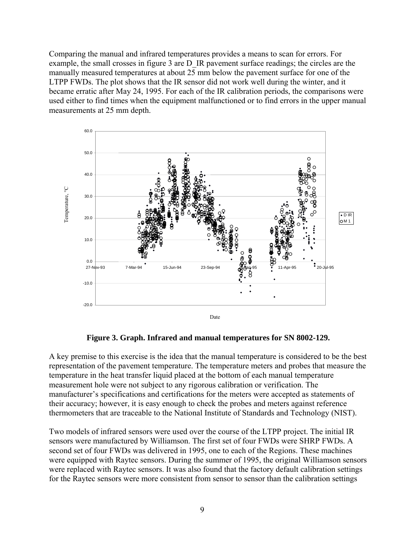Comparing the manual and infrared temperatures provides a means to scan for errors. For example, the small crosses in figure 3 are D\_IR pavement surface readings; the circles are the manually measured temperatures at about 25 mm below the pavement surface for one of the LTPP FWDs. The plot shows that the IR sensor did not work well during the winter, and it became erratic after May 24, 1995. For each of the IR calibration periods, the comparisons were used either to find times when the equipment malfunctioned or to find errors in the upper manual measurements at 25 mm depth.



**Figure 3. Graph. Infrared and manual temperatures for SN 8002-129.** 

A key premise to this exercise is the idea that the manual temperature is considered to be the best representation of the pavement temperature. The temperature meters and probes that measure the temperature in the heat transfer liquid placed at the bottom of each manual temperature measurement hole were not subject to any rigorous calibration or verification. The manufacturer's specifications and certifications for the meters were accepted as statements of their accuracy; however, it is easy enough to check the probes and meters against reference thermometers that are traceable to the National Institute of Standards and Technology (NIST).

Two models of infrared sensors were used over the course of the LTPP project. The initial IR sensors were manufactured by Williamson. The first set of four FWDs were SHRP FWDs. A second set of four FWDs was delivered in 1995, one to each of the Regions. These machines were equipped with Raytec sensors. During the summer of 1995, the original Williamson sensors were replaced with Raytec sensors. It was also found that the factory default calibration settings for the Raytec sensors were more consistent from sensor to sensor than the calibration settings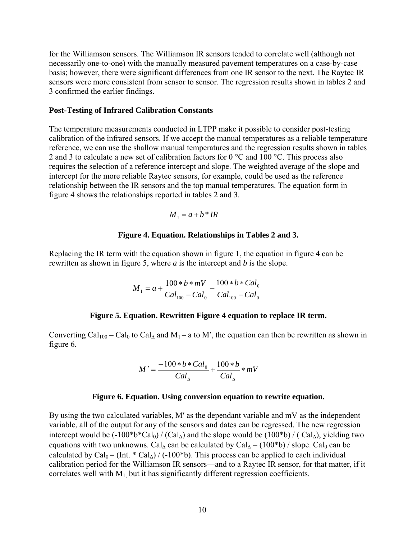for the Williamson sensors. The Williamson IR sensors tended to correlate well (although not necessarily one-to-one) with the manually measured pavement temperatures on a case-by-case basis; however, there were significant differences from one IR sensor to the next. The Raytec IR sensors were more consistent from sensor to sensor. The regression results shown in tables 2 and 3 confirmed the earlier findings.

#### **Post-Testing of Infrared Calibration Constants**

The temperature measurements conducted in LTPP make it possible to consider post-testing calibration of the infrared sensors. If we accept the manual temperatures as a reliable temperature reference, we can use the shallow manual temperatures and the regression results shown in tables 2 and 3 to calculate a new set of calibration factors for  $0^{\circ}$ C and  $100^{\circ}$ C. This process also requires the selection of a reference intercept and slope. The weighted average of the slope and intercept for the more reliable Raytec sensors, for example, could be used as the reference relationship between the IR sensors and the top manual temperatures. The equation form in figure 4 shows the relationships reported in tables 2 and 3.

$$
M_1 = a + b * IR
$$

#### **Figure 4. Equation. Relationships in Tables 2 and 3.**

Replacing the IR term with the equation shown in figure 1, the equation in figure 4 can be rewritten as shown in figure 5, where *a* is the intercept and *b* is the slope.

$$
M_1 = a + \frac{100 * b * mV}{Cal_{100} - Cal_0} - \frac{100 * b * Cal_0}{Cal_{100} - Cal_0}
$$

#### **Figure 5. Equation. Rewritten Figure 4 equation to replace IR term.**

Converting Cal<sub>100</sub> – Cal<sub>0</sub> to Cal<sub>∆</sub> and M<sub>1</sub> – a to M', the equation can then be rewritten as shown in figure 6.

$$
M' = \frac{-100 * b * Cal_0}{Cal_{\Delta}} + \frac{100 * b}{Cal_{\Delta}} * mV
$$

#### **Figure 6. Equation. Using conversion equation to rewrite equation.**

By using the two calculated variables, M′ as the dependant variable and mV as the independent variable, all of the output for any of the sensors and dates can be regressed. The new regression intercept would be  $(-100^*b^*Cal_0) / (Cal_\Delta)$  and the slope would be  $(100^*b) / (Cal_\Delta)$ , yielding two equations with two unknowns. Cal<sub>∆</sub> can be calculated by Cal<sub>∆</sub> = (100\*b) / slope. Cal<sub>0</sub> can be calculated by Cal<sub>0</sub> = (Int. \* Cal<sub>∆</sub>) / (-100\*b). This process can be applied to each individual calibration period for the Williamson IR sensors—and to a Raytec IR sensor, for that matter, if it correlates well with  $M_1$  but it has significantly different regression coefficients.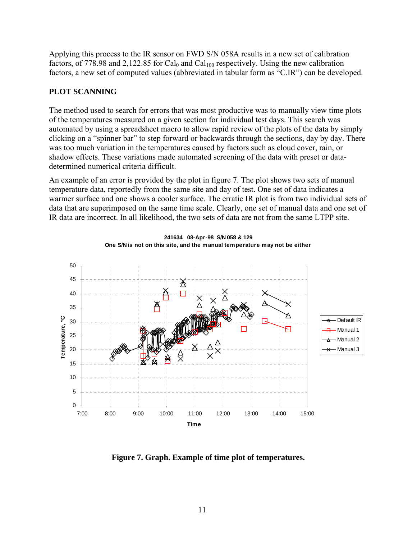Applying this process to the IR sensor on FWD S/N 058A results in a new set of calibration factors, of 778.98 and 2,122.85 for Cal<sub>0</sub> and Cal<sub>100</sub> respectively. Using the new calibration factors, a new set of computed values (abbreviated in tabular form as "C.IR") can be developed.

## **PLOT SCANNING**

The method used to search for errors that was most productive was to manually view time plots of the temperatures measured on a given section for individual test days. This search was automated by using a spreadsheet macro to allow rapid review of the plots of the data by simply clicking on a "spinner bar" to step forward or backwards through the sections, day by day. There was too much variation in the temperatures caused by factors such as cloud cover, rain, or shadow effects. These variations made automated screening of the data with preset or datadetermined numerical criteria difficult.

An example of an error is provided by the plot in figure 7. The plot shows two sets of manual temperature data, reportedly from the same site and day of test. One set of data indicates a warmer surface and one shows a cooler surface. The erratic IR plot is from two individual sets of data that are superimposed on the same time scale. Clearly, one set of manual data and one set of IR data are incorrect. In all likelihood, the two sets of data are not from the same LTPP site.



**One S/N is not on this site, and the manual temperature may not be either**

**241634 08-Apr-98 S/N 058 & 129**

**Figure 7. Graph. Example of time plot of temperatures.**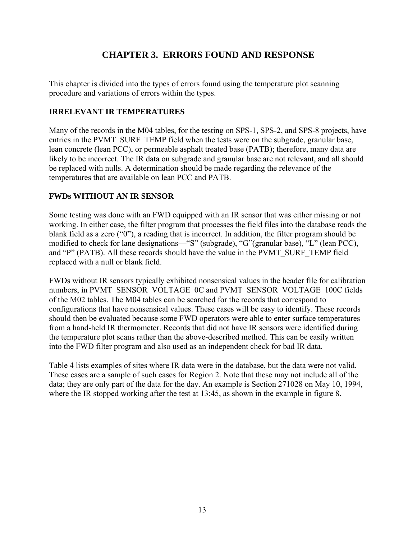# **CHAPTER 3. ERRORS FOUND AND RESPONSE**

This chapter is divided into the types of errors found using the temperature plot scanning procedure and variations of errors within the types.

## **IRRELEVANT IR TEMPERATURES**

Many of the records in the M04 tables, for the testing on SPS-1, SPS-2, and SPS-8 projects, have entries in the PVMT\_SURF\_TEMP field when the tests were on the subgrade, granular base, lean concrete (lean PCC), or permeable asphalt treated base (PATB); therefore, many data are likely to be incorrect. The IR data on subgrade and granular base are not relevant, and all should be replaced with nulls. A determination should be made regarding the relevance of the temperatures that are available on lean PCC and PATB.

## **FWDs WITHOUT AN IR SENSOR**

Some testing was done with an FWD equipped with an IR sensor that was either missing or not working. In either case, the filter program that processes the field files into the database reads the blank field as a zero ("0"), a reading that is incorrect. In addition, the filter program should be modified to check for lane designations—"S" (subgrade), "G"(granular base), "L" (lean PCC), and "P" (PATB). All these records should have the value in the PVMT\_SURF\_TEMP field replaced with a null or blank field.

FWDs without IR sensors typically exhibited nonsensical values in the header file for calibration numbers, in PVMT\_SENSOR\_VOLTAGE\_0C and PVMT\_SENSOR\_VOLTAGE\_100C fields of the M02 tables. The M04 tables can be searched for the records that correspond to configurations that have nonsensical values. These cases will be easy to identify. These records should then be evaluated because some FWD operators were able to enter surface temperatures from a hand-held IR thermometer. Records that did not have IR sensors were identified during the temperature plot scans rather than the above-described method. This can be easily written into the FWD filter program and also used as an independent check for bad IR data.

Table 4 lists examples of sites where IR data were in the database, but the data were not valid. These cases are a sample of such cases for Region 2. Note that these may not include all of the data; they are only part of the data for the day. An example is Section 271028 on May 10, 1994, where the IR stopped working after the test at 13:45, as shown in the example in figure 8.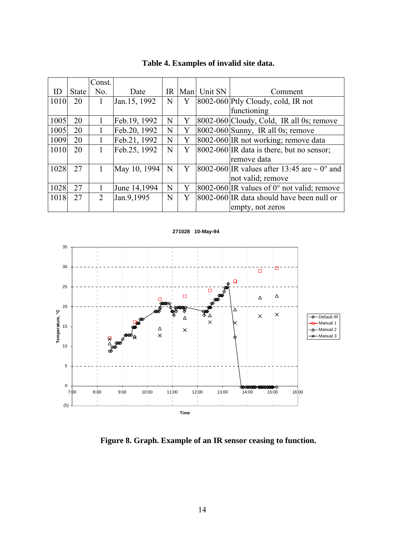|      |       | Const. |               |           |   |             |                                                         |
|------|-------|--------|---------------|-----------|---|-------------|---------------------------------------------------------|
| ID   | State | No.    | Date          | <b>IR</b> |   | Man Unit SN | Comment                                                 |
| 1010 | 20    | 1      | Jan. 15, 1992 | N         | Y |             | $[8002-060]$ Ptly Cloudy, cold, IR not                  |
|      |       |        |               |           |   |             | functioning                                             |
| 1005 | 20    |        | Feb.19, 1992  | N         | Y |             | 8002-060 Cloudy, Cold, IR all 0s; remove                |
| 1005 | 20    |        | Feb.20, 1992  | N         | Y |             | $8002-060$ Sunny, IR all 0s; remove                     |
| 1009 | 20    | 1      | Feb.21, 1992  | N         | Y |             | 8002-060 IR not working; remove data                    |
| 1010 | 20    | 1      | Feb.25, 1992  | N         | Y |             | $[8002-060]$ IR data is there, but no sensor;           |
|      |       |        |               |           |   |             | remove data                                             |
| 1028 | 27    |        | May 10, 1994  | N         | Y |             | 8002-060 IR values after 13:45 are $\sim 0^{\circ}$ and |
|      |       |        |               |           |   |             | not valid; remove                                       |
| 1028 | 27    |        | June 14,1994  | N         | Y |             | $ 8002-060 $ IR values of 0° not valid; remove          |
| 1018 | 27    | 2      | Jan.9,1995    | N         | Y |             | 8002-060 IR data should have been null or               |
|      |       |        |               |           |   |             | empty, not zeros                                        |

**Table 4. Examples of invalid site data.** 





**Figure 8. Graph. Example of an IR sensor ceasing to function.**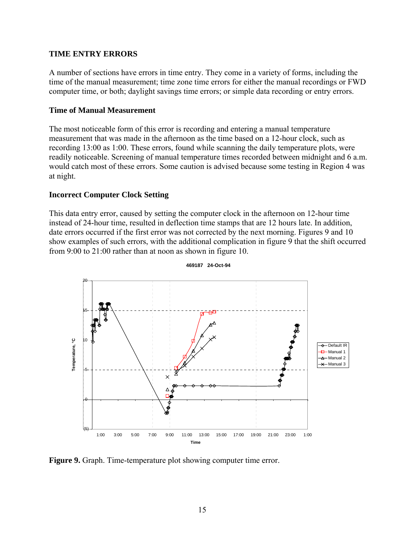#### **TIME ENTRY ERRORS**

A number of sections have errors in time entry. They come in a variety of forms, including the time of the manual measurement; time zone time errors for either the manual recordings or FWD computer time, or both; daylight savings time errors; or simple data recording or entry errors.

#### **Time of Manual Measurement**

The most noticeable form of this error is recording and entering a manual temperature measurement that was made in the afternoon as the time based on a 12-hour clock, such as recording 13:00 as 1:00. These errors, found while scanning the daily temperature plots, were readily noticeable. Screening of manual temperature times recorded between midnight and 6 a.m. would catch most of these errors. Some caution is advised because some testing in Region 4 was at night.

#### **Incorrect Computer Clock Setting**

This data entry error, caused by setting the computer clock in the afternoon on 12-hour time instead of 24-hour time, resulted in deflection time stamps that are 12 hours late. In addition, date errors occurred if the first error was not corrected by the next morning. Figures 9 and 10 show examples of such errors, with the additional complication in figure 9 that the shift occurred from 9:00 to 21:00 rather than at noon as shown in figure 10.



**469187 24-Oct-94**

**Figure 9.** Graph. Time-temperature plot showing computer time error.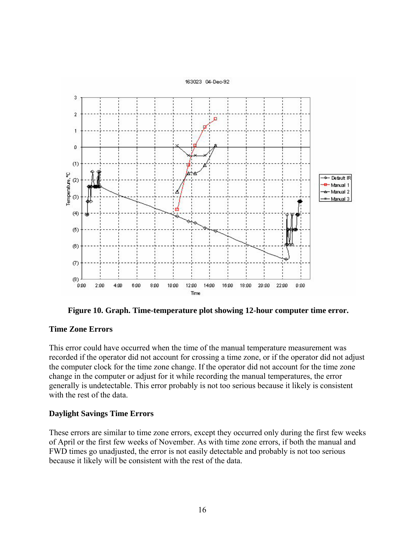

**Figure 10. Graph. Time-temperature plot showing 12-hour computer time error.** 

#### **Time Zone Errors**

This error could have occurred when the time of the manual temperature measurement was recorded if the operator did not account for crossing a time zone, or if the operator did not adjust the computer clock for the time zone change. If the operator did not account for the time zone change in the computer or adjust for it while recording the manual temperatures, the error generally is undetectable. This error probably is not too serious because it likely is consistent with the rest of the data.

## **Daylight Savings Time Errors**

These errors are similar to time zone errors, except they occurred only during the first few weeks of April or the first few weeks of November. As with time zone errors, if both the manual and FWD times go unadjusted, the error is not easily detectable and probably is not too serious because it likely will be consistent with the rest of the data.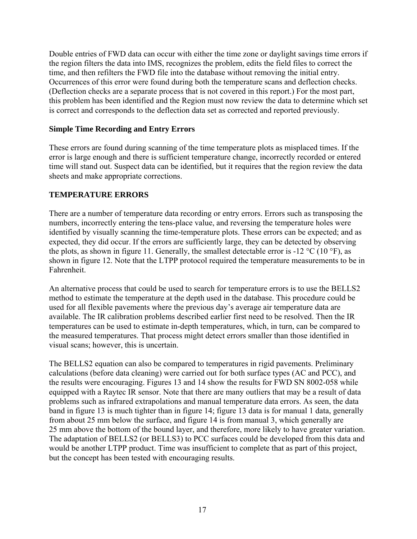Double entries of FWD data can occur with either the time zone or daylight savings time errors if the region filters the data into IMS, recognizes the problem, edits the field files to correct the time, and then refilters the FWD file into the database without removing the initial entry. Occurrences of this error were found during both the temperature scans and deflection checks. (Deflection checks are a separate process that is not covered in this report.) For the most part, this problem has been identified and the Region must now review the data to determine which set is correct and corresponds to the deflection data set as corrected and reported previously.

## **Simple Time Recording and Entry Errors**

These errors are found during scanning of the time temperature plots as misplaced times. If the error is large enough and there is sufficient temperature change, incorrectly recorded or entered time will stand out. Suspect data can be identified, but it requires that the region review the data sheets and make appropriate corrections.

## **TEMPERATURE ERRORS**

There are a number of temperature data recording or entry errors. Errors such as transposing the numbers, incorrectly entering the tens-place value, and reversing the temperature holes were identified by visually scanning the time-temperature plots. These errors can be expected; and as expected, they did occur. If the errors are sufficiently large, they can be detected by observing the plots, as shown in figure 11. Generally, the smallest detectable error is -12  $^{\circ}$ C (10  $^{\circ}$ F), as shown in figure 12. Note that the LTPP protocol required the temperature measurements to be in Fahrenheit.

An alternative process that could be used to search for temperature errors is to use the BELLS2 method to estimate the temperature at the depth used in the database. This procedure could be used for all flexible pavements where the previous day's average air temperature data are available. The IR calibration problems described earlier first need to be resolved. Then the IR temperatures can be used to estimate in-depth temperatures, which, in turn, can be compared to the measured temperatures. That process might detect errors smaller than those identified in visual scans; however, this is uncertain.

The BELLS2 equation can also be compared to temperatures in rigid pavements. Preliminary calculations (before data cleaning) were carried out for both surface types (AC and PCC), and the results were encouraging. Figures 13 and 14 show the results for FWD SN 8002-058 while equipped with a Raytec IR sensor. Note that there are many outliers that may be a result of data problems such as infrared extrapolations and manual temperature data errors. As seen, the data band in figure 13 is much tighter than in figure 14; figure 13 data is for manual 1 data, generally from about 25 mm below the surface, and figure 14 is from manual 3, which generally are 25 mm above the bottom of the bound layer, and therefore, more likely to have greater variation. The adaptation of BELLS2 (or BELLS3) to PCC surfaces could be developed from this data and would be another LTPP product. Time was insufficient to complete that as part of this project, but the concept has been tested with encouraging results.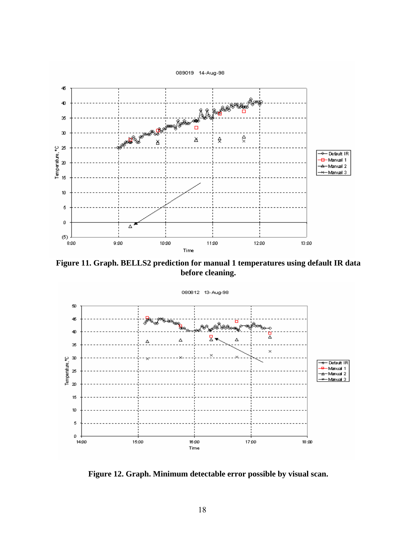

**Figure 11. Graph. BELLS2 prediction for manual 1 temperatures using default IR data before cleaning.** 



**Figure 12. Graph. Minimum detectable error possible by visual scan.**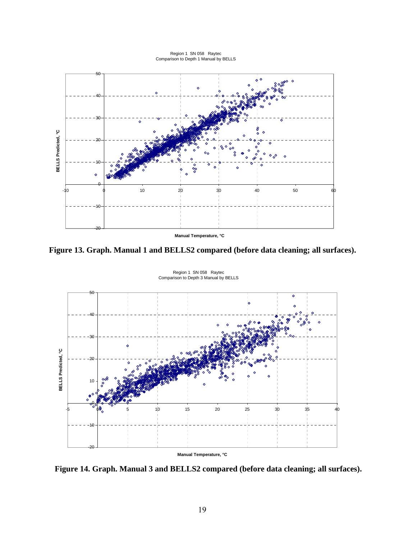Region 1 SN 058 Raytec Comparison to Depth 1 Manual by BELLS



**Figure 13. Graph. Manual 1 and BELLS2 compared (before data cleaning; all surfaces).** 



Region 1 SN 058 Raytec Comparison to Depth 3 Manual by BELLS

**Figure 14. Graph. Manual 3 and BELLS2 compared (before data cleaning; all surfaces).**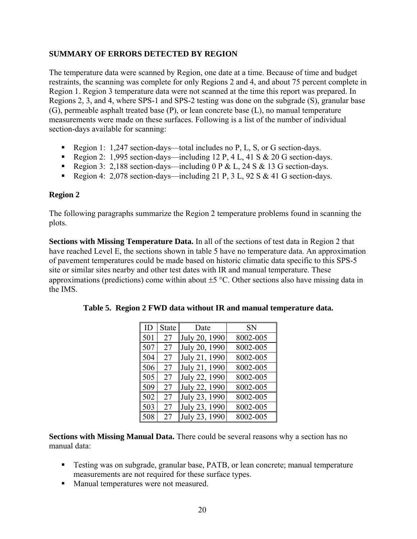## **SUMMARY OF ERRORS DETECTED BY REGION**

The temperature data were scanned by Region, one date at a time. Because of time and budget restraints, the scanning was complete for only Regions 2 and 4, and about 75 percent complete in Region 1. Region 3 temperature data were not scanned at the time this report was prepared. In Regions 2, 3, and 4, where SPS-1 and SPS-2 testing was done on the subgrade (S), granular base (G), permeable asphalt treated base (P), or lean concrete base (L), no manual temperature measurements were made on these surfaces. Following is a list of the number of individual section-days available for scanning:

- Region 1:  $1,247$  section-days—total includes no P, L, S, or G section-days.
- Region 2: 1,995 section-days—including  $12 P$ , 4 L, 41 S & 20 G section-days.
- Region 3: 2,188 section-days—including 0 P & L, 24 S & 13 G section-days.
- Region 4: 2,078 section-days—including 21 P, 3 L, 92 S & 41 G section-days.

## **Region 2**

The following paragraphs summarize the Region 2 temperature problems found in scanning the plots.

**Sections with Missing Temperature Data.** In all of the sections of test data in Region 2 that have reached Level E, the sections shown in table 5 have no temperature data. An approximation of pavement temperatures could be made based on historic climatic data specific to this SPS-5 site or similar sites nearby and other test dates with IR and manual temperature. These approximations (predictions) come within about  $\pm$ 5 °C. Other sections also have missing data in the IMS.

| ID  | <b>State</b> | Date          | <b>SN</b> |
|-----|--------------|---------------|-----------|
| 501 | 27           | July 20, 1990 | 8002-005  |
| 507 | 27           | July 20, 1990 | 8002-005  |
| 504 | 27           | July 21, 1990 | 8002-005  |
| 506 | 27           | July 21, 1990 | 8002-005  |
| 505 | 27           | July 22, 1990 | 8002-005  |
| 509 | 27           | July 22, 1990 | 8002-005  |
| 502 | 27           | July 23, 1990 | 8002-005  |
| 503 | 27           | July 23, 1990 | 8002-005  |
| 508 | 27           | July 23, 1990 | 8002-005  |

|  | Table 5. Region 2 FWD data without IR and manual temperature data. |
|--|--------------------------------------------------------------------|
|  |                                                                    |

**Sections with Missing Manual Data.** There could be several reasons why a section has no manual data:

- Testing was on subgrade, granular base, PATB, or lean concrete; manual temperature measurements are not required for these surface types.
- **Manual temperatures were not measured.**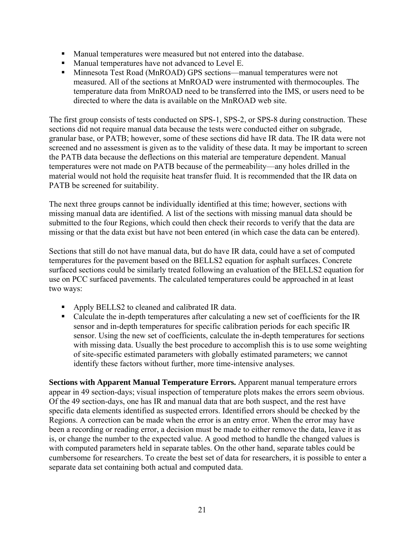- Manual temperatures were measured but not entered into the database.
- Manual temperatures have not advanced to Level E.
- Minnesota Test Road (MnROAD) GPS sections—manual temperatures were not measured. All of the sections at MnROAD were instrumented with thermocouples. The temperature data from MnROAD need to be transferred into the IMS, or users need to be directed to where the data is available on the MnROAD web site.

The first group consists of tests conducted on SPS-1, SPS-2, or SPS-8 during construction. These sections did not require manual data because the tests were conducted either on subgrade, granular base, or PATB; however, some of these sections did have IR data. The IR data were not screened and no assessment is given as to the validity of these data. It may be important to screen the PATB data because the deflections on this material are temperature dependent. Manual temperatures were not made on PATB because of the permeability—any holes drilled in the material would not hold the requisite heat transfer fluid. It is recommended that the IR data on PATB be screened for suitability.

The next three groups cannot be individually identified at this time; however, sections with missing manual data are identified. A list of the sections with missing manual data should be submitted to the four Regions, which could then check their records to verify that the data are missing or that the data exist but have not been entered (in which case the data can be entered).

Sections that still do not have manual data, but do have IR data, could have a set of computed temperatures for the pavement based on the BELLS2 equation for asphalt surfaces. Concrete surfaced sections could be similarly treated following an evaluation of the BELLS2 equation for use on PCC surfaced pavements. The calculated temperatures could be approached in at least two ways:

- Apply BELLS2 to cleaned and calibrated IR data.
- Calculate the in-depth temperatures after calculating a new set of coefficients for the IR sensor and in-depth temperatures for specific calibration periods for each specific IR sensor. Using the new set of coefficients, calculate the in-depth temperatures for sections with missing data. Usually the best procedure to accomplish this is to use some weighting of site-specific estimated parameters with globally estimated parameters; we cannot identify these factors without further, more time-intensive analyses.

**Sections with Apparent Manual Temperature Errors.** Apparent manual temperature errors appear in 49 section-days; visual inspection of temperature plots makes the errors seem obvious. Of the 49 section-days, one has IR and manual data that are both suspect, and the rest have specific data elements identified as suspected errors. Identified errors should be checked by the Regions. A correction can be made when the error is an entry error. When the error may have been a recording or reading error, a decision must be made to either remove the data, leave it as is, or change the number to the expected value. A good method to handle the changed values is with computed parameters held in separate tables. On the other hand, separate tables could be cumbersome for researchers. To create the best set of data for researchers, it is possible to enter a separate data set containing both actual and computed data.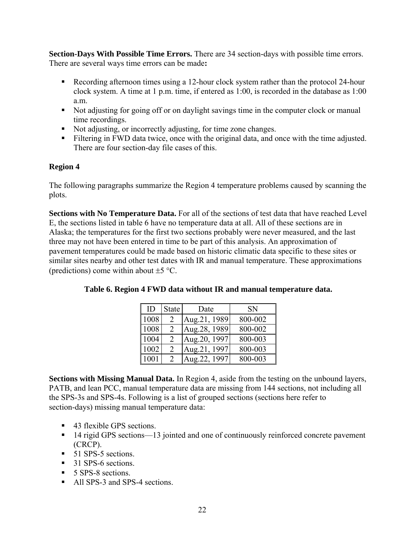**Section-Days With Possible Time Errors.** There are 34 section-days with possible time errors. There are several ways time errors can be made**:** 

- **Recording afternoon times using a 12-hour clock system rather than the protocol 24-hour** clock system. A time at 1 p.m. time, if entered as 1:00, is recorded in the database as 1:00 a.m.
- Not adjusting for going off or on daylight savings time in the computer clock or manual time recordings.
- Not adjusting, or incorrectly adjusting, for time zone changes.
- Filtering in FWD data twice, once with the original data, and once with the time adjusted. There are four section-day file cases of this.

## **Region 4**

The following paragraphs summarize the Region 4 temperature problems caused by scanning the plots.

**Sections with No Temperature Data.** For all of the sections of test data that have reached Level E, the sections listed in table 6 have no temperature data at all. All of these sections are in Alaska; the temperatures for the first two sections probably were never measured, and the last three may not have been entered in time to be part of this analysis. An approximation of pavement temperatures could be made based on historic climatic data specific to these sites or similar sites nearby and other test dates with IR and manual temperature. These approximations (predictions) come within about  $\pm$  5 °C.

| ID   | <b>State</b> | Date          | <b>SN</b> |
|------|--------------|---------------|-----------|
| 1008 |              | Aug.21, 1989  | 800-002   |
| 1008 | 2            | Aug. 28, 1989 | 800-002   |
| 1004 | 2            | Aug.20, 1997  | 800-003   |
| 1002 | 2            | Aug.21, 1997  | 800-003   |
| 1001 |              | Aug.22, 1997  | 800-003   |

**Table 6. Region 4 FWD data without IR and manual temperature data.** 

**Sections with Missing Manual Data.** In Region 4, aside from the testing on the unbound layers, PATB, and lean PCC, manual temperature data are missing from 144 sections, not including all the SPS-3s and SPS-4s. Following is a list of grouped sections (sections here refer to section-days) missing manual temperature data:

- 43 flexible GPS sections.
- 14 rigid GPS sections—13 jointed and one of continuously reinforced concrete pavement (CRCP).
- 51 SPS-5 sections.
- 31 SPS-6 sections.
- 5 SPS-8 sections.
- All SPS-3 and SPS-4 sections.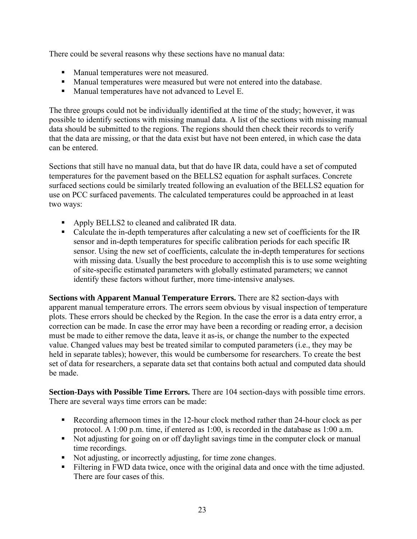There could be several reasons why these sections have no manual data:

- **Manual temperatures were not measured.**
- Manual temperatures were measured but were not entered into the database.
- Manual temperatures have not advanced to Level E.

The three groups could not be individually identified at the time of the study; however, it was possible to identify sections with missing manual data. A list of the sections with missing manual data should be submitted to the regions. The regions should then check their records to verify that the data are missing, or that the data exist but have not been entered, in which case the data can be entered.

Sections that still have no manual data, but that do have IR data, could have a set of computed temperatures for the pavement based on the BELLS2 equation for asphalt surfaces. Concrete surfaced sections could be similarly treated following an evaluation of the BELLS2 equation for use on PCC surfaced pavements. The calculated temperatures could be approached in at least two ways:

- Apply BELLS2 to cleaned and calibrated IR data.
- Calculate the in-depth temperatures after calculating a new set of coefficients for the IR sensor and in-depth temperatures for specific calibration periods for each specific IR sensor. Using the new set of coefficients, calculate the in-depth temperatures for sections with missing data. Usually the best procedure to accomplish this is to use some weighting of site-specific estimated parameters with globally estimated parameters; we cannot identify these factors without further, more time-intensive analyses.

**Sections with Apparent Manual Temperature Errors.** There are 82 section-days with apparent manual temperature errors. The errors seem obvious by visual inspection of temperature plots. These errors should be checked by the Region. In the case the error is a data entry error, a correction can be made. In case the error may have been a recording or reading error, a decision must be made to either remove the data, leave it as-is, or change the number to the expected value. Changed values may best be treated similar to computed parameters (i.e., they may be held in separate tables); however, this would be cumbersome for researchers. To create the best set of data for researchers, a separate data set that contains both actual and computed data should be made.

**Section-Days with Possible Time Errors.** There are 104 section-days with possible time errors. There are several ways time errors can be made:

- Recording afternoon times in the 12-hour clock method rather than 24-hour clock as per protocol. A 1:00 p.m. time, if entered as 1:00, is recorded in the database as 1:00 a.m.
- Not adjusting for going on or off daylight savings time in the computer clock or manual time recordings.
- Not adjusting, or incorrectly adjusting, for time zone changes.
- Filtering in FWD data twice, once with the original data and once with the time adjusted. There are four cases of this.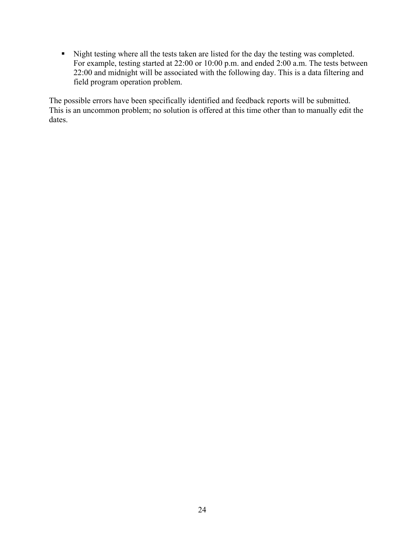Night testing where all the tests taken are listed for the day the testing was completed. For example, testing started at 22:00 or 10:00 p.m. and ended 2:00 a.m. The tests between 22:00 and midnight will be associated with the following day. This is a data filtering and field program operation problem.

The possible errors have been specifically identified and feedback reports will be submitted. This is an uncommon problem; no solution is offered at this time other than to manually edit the dates.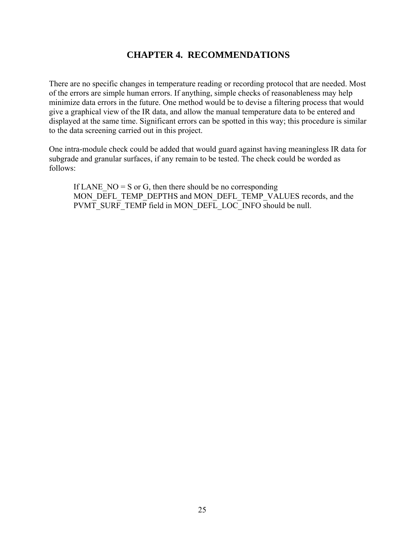## **CHAPTER 4. RECOMMENDATIONS**

There are no specific changes in temperature reading or recording protocol that are needed. Most of the errors are simple human errors. If anything, simple checks of reasonableness may help minimize data errors in the future. One method would be to devise a filtering process that would give a graphical view of the IR data, and allow the manual temperature data to be entered and displayed at the same time. Significant errors can be spotted in this way; this procedure is similar to the data screening carried out in this project.

One intra-module check could be added that would guard against having meaningless IR data for subgrade and granular surfaces, if any remain to be tested. The check could be worded as follows:

If LANE  $NO = S$  or G, then there should be no corresponding MON\_DEFL\_TEMP\_DEPTHS and MON\_DEFL\_TEMP\_VALUES records, and the PVMT\_SURF\_TEMP field in MON\_DEFL\_LOC\_INFO should be null.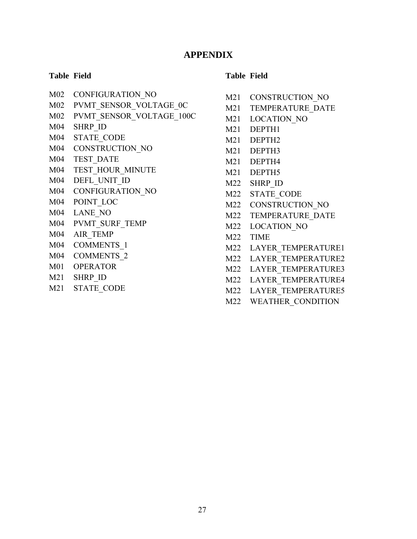## **APPENDIX**

#### **Table Field**

- M02 CONFIGURATION\_NO
- M02 PVMT\_SENSOR\_VOLTAGE\_0C
- M02 PVMT\_SENSOR\_VOLTAGE\_100C
- M04 SHRP\_ID
- M04 STATE\_CODE
- M04 CONSTRUCTION\_NO
- M04 TEST\_DATE
- M04 TEST\_HOUR\_MINUTE
- M04 DEFL\_UNIT\_ID
- M04 CONFIGURATION\_NO
- M04 POINT\_LOC
- M04 LANE\_NO
- M04 PVMT\_SURF\_TEMP
- M04 AIR\_TEMP
- M04 COMMENTS\_1
- M04 COMMENTS\_2
- M01 OPERATOR
- M21 SHRP\_ID
- M21 STATE\_CODE

## **Table Field**

- M21 CONSTRUCTION NO
- M21 TEMPERATURE DATE
- M21 LOCATION NO
- M21 DEPTH1
- M21 DEPTH2
- M21 DEPTH3
- M21 DEPTH4
- M21 DEPTH5
- M22 SHRP\_ID
- M22 STATE\_CODE
- M22 CONSTRUCTION\_NO
- M22 TEMPERATURE DATE
- M22 LOCATION\_NO
- M22 TIME
- M22 LAYER TEMPERATURE1
- M22 LAYER TEMPERATURE2
- M22 LAYER\_TEMPERATURE3
- M22 LAYER\_TEMPERATURE4
- M22 LAYER TEMPERATURE5
- M22 WEATHER\_CONDITION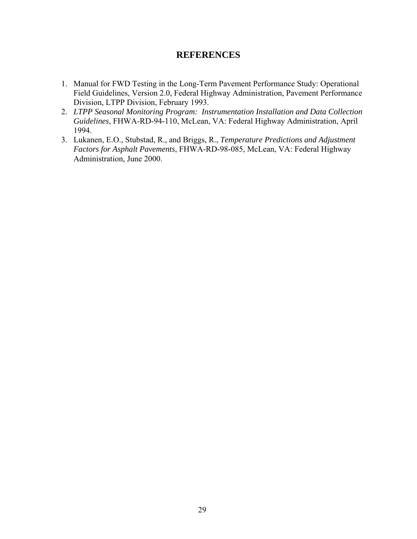## **REFERENCES**

- 1. Manual for FWD Testing in the Long-Term Pavement Performance Study: Operational Field Guidelines, Version 2.0, Federal Highway Administration, Pavement Performance Division, LTPP Division, February 1993.
- 2. *LTPP Seasonal Monitoring Program: Instrumentation Installation and Data Collection Guidelines*, FHWA-RD-94-110, McLean, VA: Federal Highway Administration, April 1994.
- 3. Lukanen, E.O., Stubstad, R., and Briggs, R., *Temperature Predictions and Adjustment Factors for Asphalt Pavements*, FHWA-RD-98-085, McLean, VA: Federal Highway Administration, June 2000.